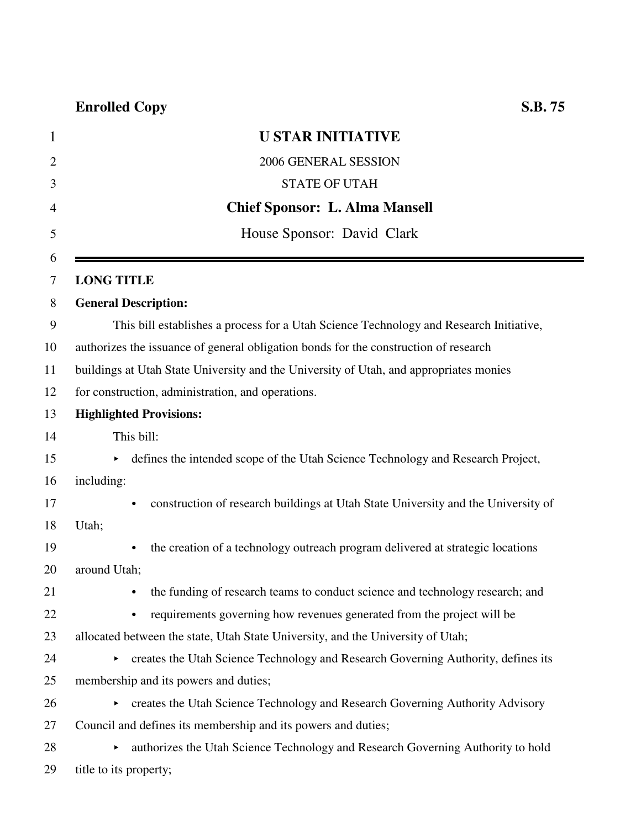| 1              | <b>U STAR INITIATIVE</b>                                                                       |
|----------------|------------------------------------------------------------------------------------------------|
| $\overline{2}$ | 2006 GENERAL SESSION                                                                           |
| 3              | <b>STATE OF UTAH</b>                                                                           |
| 4              | <b>Chief Sponsor: L. Alma Mansell</b>                                                          |
| 5              | House Sponsor: David Clark                                                                     |
| 6<br>7         | <b>LONG TITLE</b>                                                                              |
| 8              | <b>General Description:</b>                                                                    |
| 9              | This bill establishes a process for a Utah Science Technology and Research Initiative,         |
| 10             | authorizes the issuance of general obligation bonds for the construction of research           |
| 11             | buildings at Utah State University and the University of Utah, and appropriates monies         |
| 12             | for construction, administration, and operations.                                              |
| 13             | <b>Highlighted Provisions:</b>                                                                 |
| 14             | This bill:                                                                                     |
| 15             | defines the intended scope of the Utah Science Technology and Research Project,                |
| 16             | including:                                                                                     |
| 17             | construction of research buildings at Utah State University and the University of<br>$\bullet$ |
| 18             | Utah;                                                                                          |
| 19             | the creation of a technology outreach program delivered at strategic locations                 |
| 20             | around Utah;                                                                                   |
| 21             | the funding of research teams to conduct science and technology research; and<br>$\bullet$     |
| 22             | requirements governing how revenues generated from the project will be                         |
| 23             | allocated between the state, Utah State University, and the University of Utah;                |
| 24             | creates the Utah Science Technology and Research Governing Authority, defines its<br>►         |
| 25             | membership and its powers and duties;                                                          |
| 26             | creates the Utah Science Technology and Research Governing Authority Advisory                  |
| 27             | Council and defines its membership and its powers and duties;                                  |
| 28             | authorizes the Utah Science Technology and Research Governing Authority to hold<br>Þ.          |
| 29             | title to its property;                                                                         |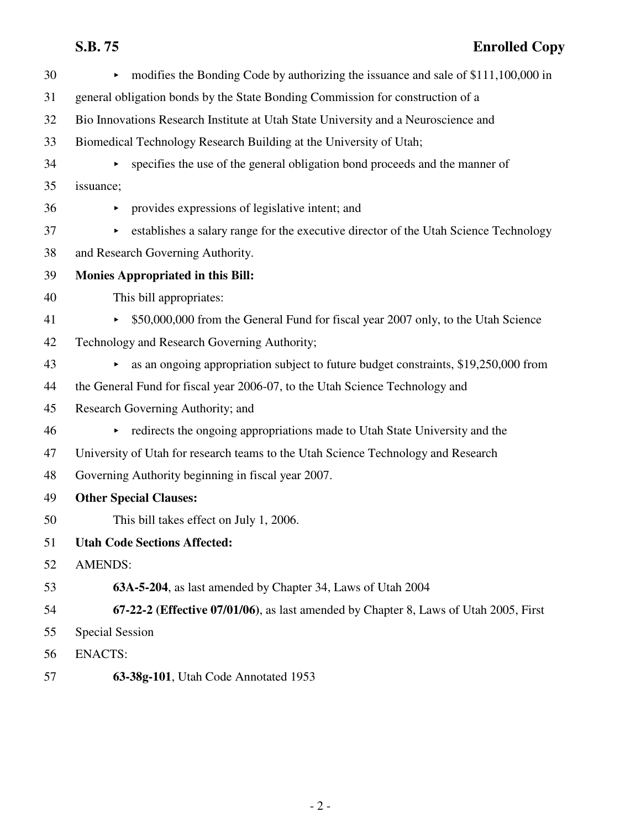# **S.B. 75 Enrolled Copy**

| 30 | modifies the Bonding Code by authorizing the issuance and sale of \$111,100,000 in<br>Þ.             |
|----|------------------------------------------------------------------------------------------------------|
| 31 | general obligation bonds by the State Bonding Commission for construction of a                       |
| 32 | Bio Innovations Research Institute at Utah State University and a Neuroscience and                   |
| 33 | Biomedical Technology Research Building at the University of Utah;                                   |
| 34 | specifies the use of the general obligation bond proceeds and the manner of<br>$\blacktriangleright$ |
| 35 | issuance;                                                                                            |
| 36 | provides expressions of legislative intent; and<br>$\blacktriangleright$                             |
| 37 | establishes a salary range for the executive director of the Utah Science Technology                 |
| 38 | and Research Governing Authority.                                                                    |
| 39 | <b>Monies Appropriated in this Bill:</b>                                                             |
| 40 | This bill appropriates:                                                                              |
| 41 | \$50,000,000 from the General Fund for fiscal year 2007 only, to the Utah Science                    |
| 42 | Technology and Research Governing Authority;                                                         |
| 43 | as an ongoing appropriation subject to future budget constraints, \$19,250,000 from<br>Þ.            |
| 44 | the General Fund for fiscal year 2006-07, to the Utah Science Technology and                         |
| 45 | Research Governing Authority; and                                                                    |
| 46 | redirects the ongoing appropriations made to Utah State University and the<br>Þ.                     |
| 47 | University of Utah for research teams to the Utah Science Technology and Research                    |
| 48 | Governing Authority beginning in fiscal year 2007.                                                   |
| 49 | <b>Other Special Clauses:</b>                                                                        |
| 50 | This bill takes effect on July 1, 2006.                                                              |
| 51 | <b>Utah Code Sections Affected:</b>                                                                  |
| 52 | <b>AMENDS:</b>                                                                                       |
| 53 | 63A-5-204, as last amended by Chapter 34, Laws of Utah 2004                                          |
| 54 | 67-22-2 (Effective 07/01/06), as last amended by Chapter 8, Laws of Utah 2005, First                 |
| 55 | <b>Special Session</b>                                                                               |
| 56 | <b>ENACTS:</b>                                                                                       |
| 57 | 63-38g-101, Utah Code Annotated 1953                                                                 |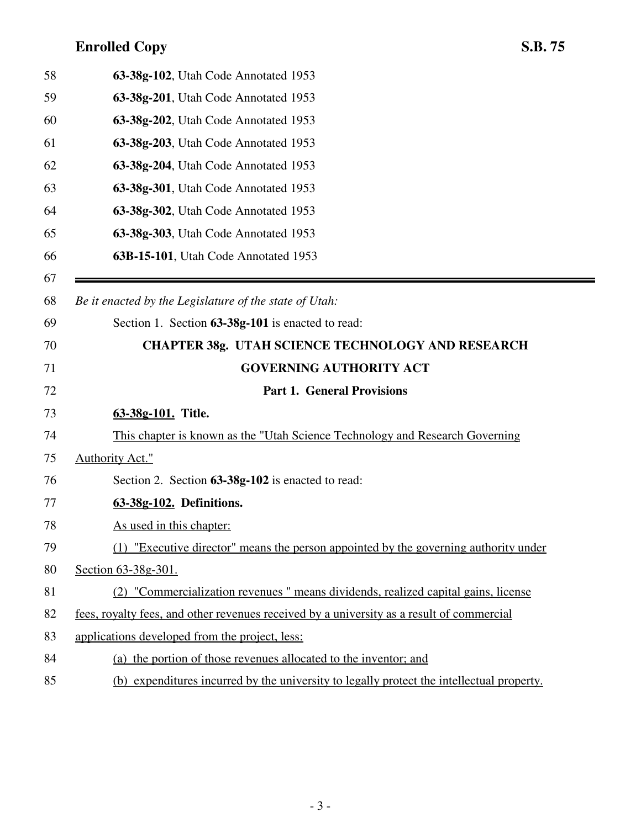| 58 | 63-38g-102, Utah Code Annotated 1953                                                      |
|----|-------------------------------------------------------------------------------------------|
| 59 | 63-38g-201, Utah Code Annotated 1953                                                      |
| 60 | 63-38g-202, Utah Code Annotated 1953                                                      |
| 61 | 63-38g-203, Utah Code Annotated 1953                                                      |
| 62 | 63-38g-204, Utah Code Annotated 1953                                                      |
| 63 | 63-38g-301, Utah Code Annotated 1953                                                      |
| 64 | 63-38g-302, Utah Code Annotated 1953                                                      |
| 65 | 63-38g-303, Utah Code Annotated 1953                                                      |
| 66 | 63B-15-101, Utah Code Annotated 1953                                                      |
| 67 |                                                                                           |
| 68 | Be it enacted by the Legislature of the state of Utah:                                    |
| 69 | Section 1. Section 63-38g-101 is enacted to read:                                         |
| 70 | <b>CHAPTER 38g. UTAH SCIENCE TECHNOLOGY AND RESEARCH</b>                                  |
| 71 | <b>GOVERNING AUTHORITY ACT</b>                                                            |
| 72 | <b>Part 1. General Provisions</b>                                                         |
| 73 | 63-38g-101. Title.                                                                        |
|    |                                                                                           |
| 74 | This chapter is known as the "Utah Science Technology and Research Governing"             |
| 75 | <b>Authority Act."</b>                                                                    |
| 76 | Section 2. Section 63-38g-102 is enacted to read:                                         |
| 77 | 63-38g-102. Definitions.                                                                  |
| 78 | As used in this chapter:                                                                  |
| 79 | (1) "Executive director" means the person appointed by the governing authority under      |
| 80 | Section 63-38g-301.                                                                       |
| 81 | (2) "Commercialization revenues" means dividends, realized capital gains, license         |
| 82 | fees, royalty fees, and other revenues received by a university as a result of commercial |
| 83 | applications developed from the project, less:                                            |
| 84 | (a) the portion of those revenues allocated to the inventor; and                          |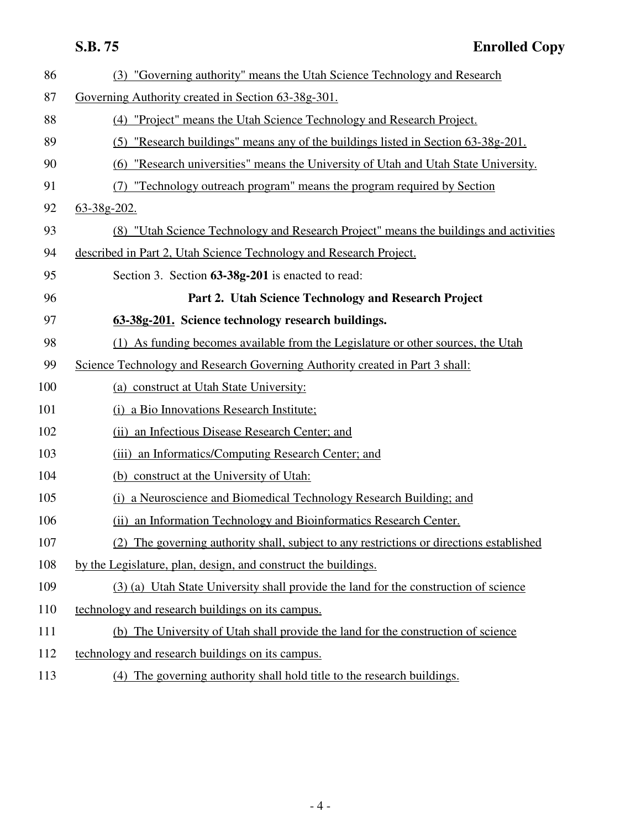| 86  | (3) "Governing authority" means the Utah Science Technology and Research                 |
|-----|------------------------------------------------------------------------------------------|
| 87  | Governing Authority created in Section 63-38g-301.                                       |
| 88  | (4) "Project" means the Utah Science Technology and Research Project.                    |
| 89  | (5) "Research buildings" means any of the buildings listed in Section 63-38g-201.        |
| 90  | (6) "Research universities" means the University of Utah and Utah State University.      |
| 91  | (7) "Technology outreach program" means the program required by Section                  |
| 92  | $63 - 38g - 202$ .                                                                       |
| 93  | (8) "Utah Science Technology and Research Project" means the buildings and activities    |
| 94  | described in Part 2, Utah Science Technology and Research Project.                       |
| 95  | Section 3. Section 63-38g-201 is enacted to read:                                        |
| 96  | Part 2. Utah Science Technology and Research Project                                     |
| 97  | 63-38g-201. Science technology research buildings.                                       |
| 98  | (1) As funding becomes available from the Legislature or other sources, the Utah         |
| 99  | Science Technology and Research Governing Authority created in Part 3 shall:             |
| 100 | (a) construct at Utah State University:                                                  |
| 101 | (i) a Bio Innovations Research Institute;                                                |
| 102 | (ii) an Infectious Disease Research Center; and                                          |
| 103 | (iii) an Informatics/Computing Research Center; and                                      |
| 104 | (b) construct at the University of Utah:                                                 |
| 105 | (i) a Neuroscience and Biomedical Technology Research Building; and                      |
| 106 | an Information Technology and Bioinformatics Research Center.<br>(ii)                    |
| 107 | (2) The governing authority shall, subject to any restrictions or directions established |
| 108 | by the Legislature, plan, design, and construct the buildings.                           |
| 109 | (3) (a) Utah State University shall provide the land for the construction of science     |
| 110 | technology and research buildings on its campus.                                         |
| 111 | (b) The University of Utah shall provide the land for the construction of science        |
| 112 | technology and research buildings on its campus.                                         |
| 113 | (4) The governing authority shall hold title to the research buildings.                  |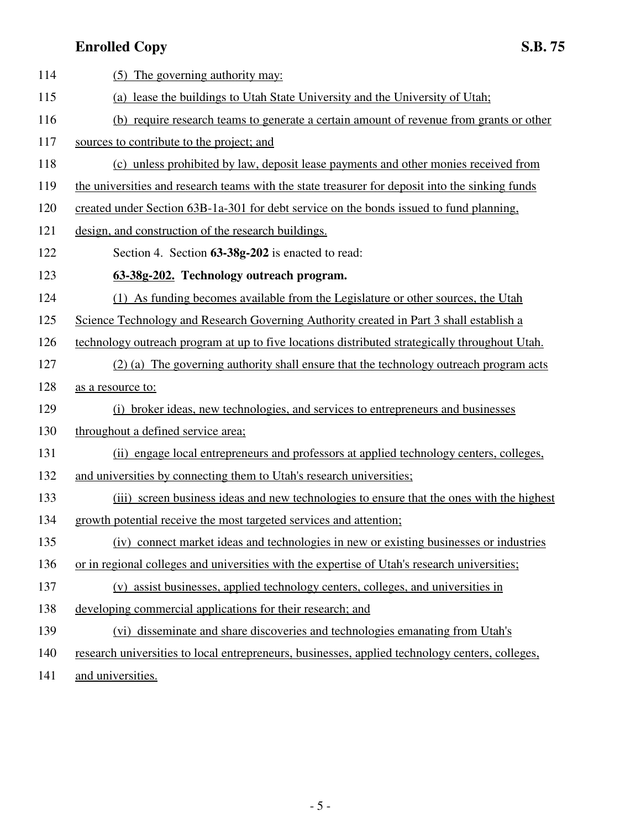| 114 | (5) The governing authority may:                                                                |
|-----|-------------------------------------------------------------------------------------------------|
| 115 | (a) lease the buildings to Utah State University and the University of Utah;                    |
| 116 | (b) require research teams to generate a certain amount of revenue from grants or other         |
| 117 | sources to contribute to the project; and                                                       |
| 118 | (c) unless prohibited by law, deposit lease payments and other monies received from             |
| 119 | the universities and research teams with the state treasurer for deposit into the sinking funds |
| 120 | created under Section 63B-1a-301 for debt service on the bonds issued to fund planning,         |
| 121 | design, and construction of the research buildings.                                             |
| 122 | Section 4. Section 63-38g-202 is enacted to read:                                               |
| 123 | 63-38g-202. Technology outreach program.                                                        |
| 124 | (1) As funding becomes available from the Legislature or other sources, the Utah                |
| 125 | Science Technology and Research Governing Authority created in Part 3 shall establish a         |
| 126 | technology outreach program at up to five locations distributed strategically throughout Utah.  |
| 127 | (2) (a) The governing authority shall ensure that the technology outreach program acts          |
| 128 | as a resource to:                                                                               |
| 129 | (i) broker ideas, new technologies, and services to entrepreneurs and businesses                |
| 130 | throughout a defined service area;                                                              |
| 131 | (ii) engage local entrepreneurs and professors at applied technology centers, colleges,         |
| 132 | and universities by connecting them to Utah's research universities;                            |
| 133 | (iii) screen business ideas and new technologies to ensure that the ones with the highest       |
| 134 | growth potential receive the most targeted services and attention;                              |
| 135 | (iv) connect market ideas and technologies in new or existing businesses or industries          |
| 136 | or in regional colleges and universities with the expertise of Utah's research universities;    |
| 137 | (v) assist businesses, applied technology centers, colleges, and universities in                |
| 138 | developing commercial applications for their research; and                                      |
| 139 | (vi) disseminate and share discoveries and technologies emanating from Utah's                   |
| 140 | research universities to local entrepreneurs, businesses, applied technology centers, colleges, |
|     |                                                                                                 |

141 and universities.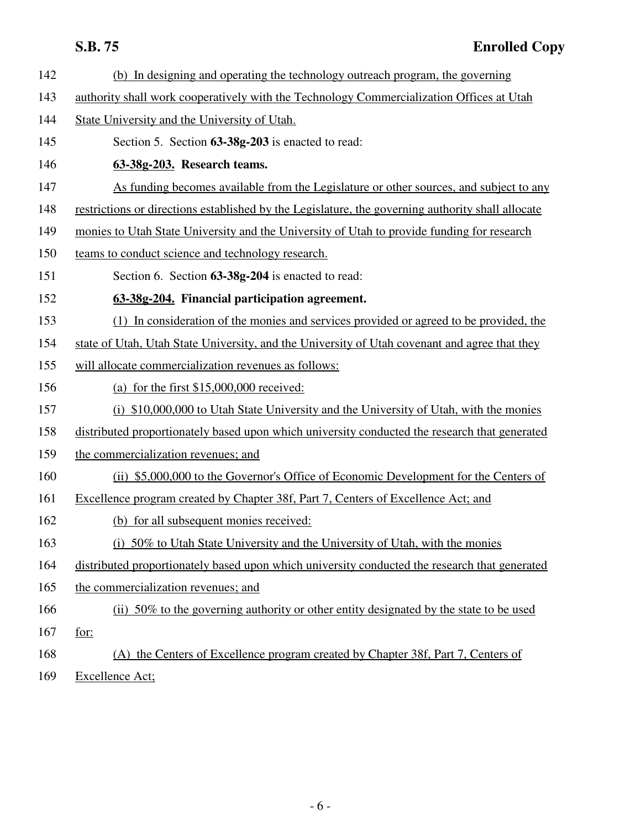142 (b) In designing and operating the technology outreach program, the governing 143 authority shall work cooperatively with the Technology Commercialization Offices at Utah 144 State University and the University of Utah. 145 Section 5. Section **63-38g-203** is enacted to read: 146 **63-38g-203. Research teams.** 147 As funding becomes available from the Legislature or other sources, and subject to any 148 restrictions or directions established by the Legislature, the governing authority shall allocate 149 monies to Utah State University and the University of Utah to provide funding for research 150 teams to conduct science and technology research. 151 Section 6. Section **63-38g-204** is enacted to read: 152 **63-38g-204. Financial participation agreement.** 153 (1) In consideration of the monies and services provided or agreed to be provided, the 154 state of Utah, Utah State University, and the University of Utah covenant and agree that they 155 will allocate commercialization revenues as follows: 156 (a) for the first \$15,000,000 received: 157 (i) \$10,000,000 to Utah State University and the University of Utah, with the monies 158 distributed proportionately based upon which university conducted the research that generated 159 the commercialization revenues; and 160 (ii) \$5,000,000 to the Governor's Office of Economic Development for the Centers of 161 Excellence program created by Chapter 38f, Part 7, Centers of Excellence Act; and 162 (b) for all subsequent monies received: 163 (i) 50% to Utah State University and the University of Utah, with the monies 164 distributed proportionately based upon which university conducted the research that generated 165 the commercialization revenues; and 166 (ii) 50% to the governing authority or other entity designated by the state to be used 167 for: 168 (A) the Centers of Excellence program created by Chapter 38f, Part 7, Centers of 169 Excellence Act;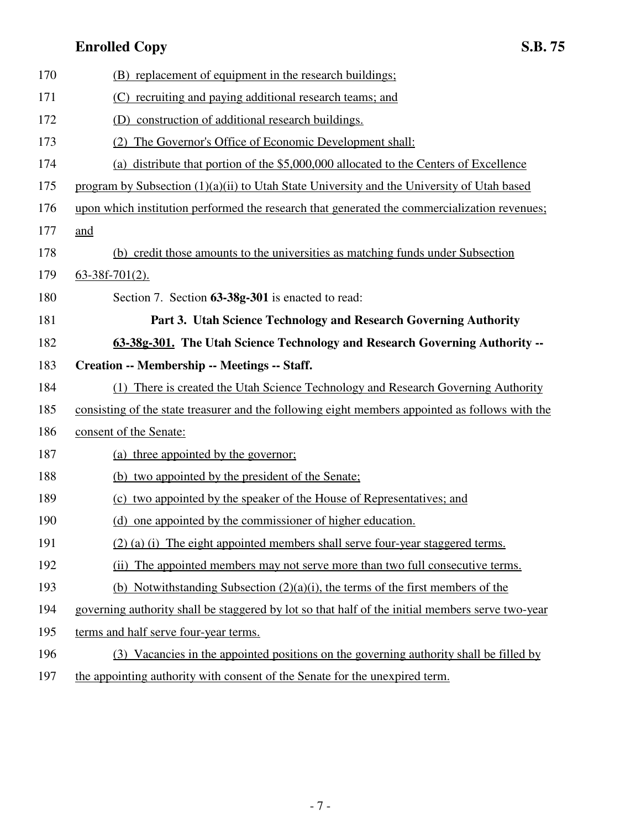| 170 | (B) replacement of equipment in the research buildings;                                          |
|-----|--------------------------------------------------------------------------------------------------|
| 171 | (C) recruiting and paying additional research teams; and                                         |
| 172 | (D) construction of additional research buildings.                                               |
| 173 | The Governor's Office of Economic Development shall:<br>(2)                                      |
| 174 | (a) distribute that portion of the \$5,000,000 allocated to the Centers of Excellence            |
| 175 | program by Subsection (1)(a)(ii) to Utah State University and the University of Utah based       |
| 176 | upon which institution performed the research that generated the commercialization revenues;     |
| 177 | and                                                                                              |
| 178 | (b) credit those amounts to the universities as matching funds under Subsection                  |
| 179 | $63-38f-701(2)$ .                                                                                |
| 180 | Section 7. Section 63-38g-301 is enacted to read:                                                |
| 181 | Part 3. Utah Science Technology and Research Governing Authority                                 |
| 182 | 63-38g-301. The Utah Science Technology and Research Governing Authority --                      |
| 183 | Creation -- Membership -- Meetings -- Staff.                                                     |
| 184 | (1) There is created the Utah Science Technology and Research Governing Authority                |
| 185 | consisting of the state treasurer and the following eight members appointed as follows with the  |
| 186 | consent of the Senate:                                                                           |
| 187 | (a) three appointed by the governor;                                                             |
| 188 | (b) two appointed by the president of the Senate:                                                |
| 189 | (c) two appointed by the speaker of the House of Representatives; and                            |
| 190 | (d) one appointed by the commissioner of higher education.                                       |
| 191 | (2) (a) (i) The eight appointed members shall serve four-year staggered terms.                   |
| 192 | (ii) The appointed members may not serve more than two full consecutive terms.                   |
| 193 | (b) Notwithstanding Subsection $(2)(a)(i)$ , the terms of the first members of the               |
| 194 | governing authority shall be staggered by lot so that half of the initial members serve two-year |
| 195 | terms and half serve four-year terms.                                                            |
| 196 | (3) Vacancies in the appointed positions on the governing authority shall be filled by           |
| 197 | the appointing authority with consent of the Senate for the unexpired term.                      |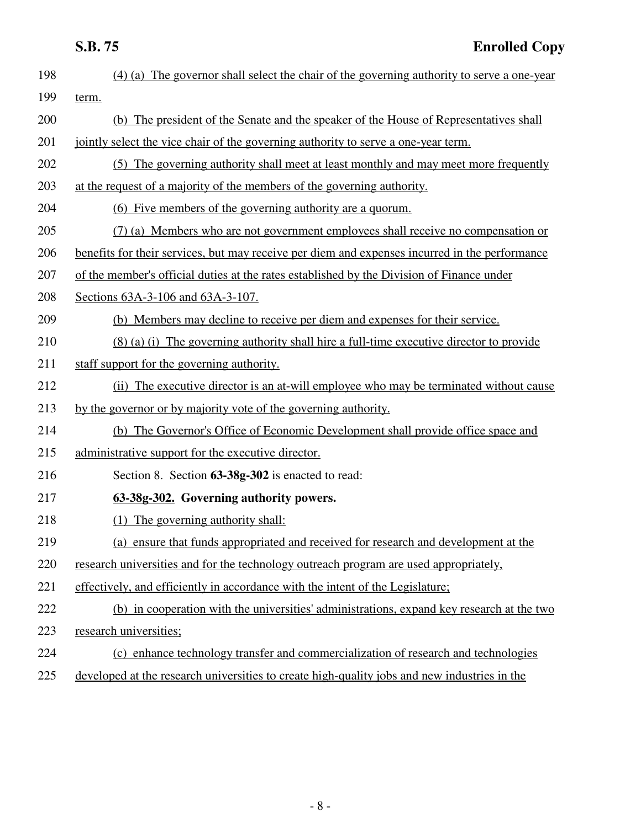| 198 | (4) (a) The governor shall select the chair of the governing authority to serve a one-year     |
|-----|------------------------------------------------------------------------------------------------|
| 199 | term.                                                                                          |
| 200 | (b) The president of the Senate and the speaker of the House of Representatives shall          |
| 201 | jointly select the vice chair of the governing authority to serve a one-year term.             |
| 202 | (5) The governing authority shall meet at least monthly and may meet more frequently           |
| 203 | at the request of a majority of the members of the governing authority.                        |
| 204 | (6) Five members of the governing authority are a quorum.                                      |
| 205 | (7) (a) Members who are not government employees shall receive no compensation or              |
| 206 | benefits for their services, but may receive per diem and expenses incurred in the performance |
| 207 | of the member's official duties at the rates established by the Division of Finance under      |
| 208 | Sections 63A-3-106 and 63A-3-107.                                                              |
| 209 | (b) Members may decline to receive per diem and expenses for their service.                    |
| 210 | (8) (a) (i) The governing authority shall hire a full-time executive director to provide       |
| 211 | staff support for the governing authority.                                                     |
| 212 | (ii) The executive director is an at-will employee who may be terminated without cause         |
| 213 | by the governor or by majority vote of the governing authority.                                |
| 214 | (b) The Governor's Office of Economic Development shall provide office space and               |
| 215 | administrative support for the executive director.                                             |
| 216 | Section 8. Section 63-38g-302 is enacted to read:                                              |
| 217 | 63-38g-302. Governing authority powers.                                                        |
| 218 | The governing authority shall:<br>(1)                                                          |
| 219 | (a) ensure that funds appropriated and received for research and development at the            |
| 220 | research universities and for the technology outreach program are used appropriately,          |
| 221 | effectively, and efficiently in accordance with the intent of the Legislature;                 |
| 222 | (b) in cooperation with the universities' administrations, expand key research at the two      |
| 223 | research universities;                                                                         |
| 224 | (c) enhance technology transfer and commercialization of research and technologies             |
| 225 | developed at the research universities to create high-quality jobs and new industries in the   |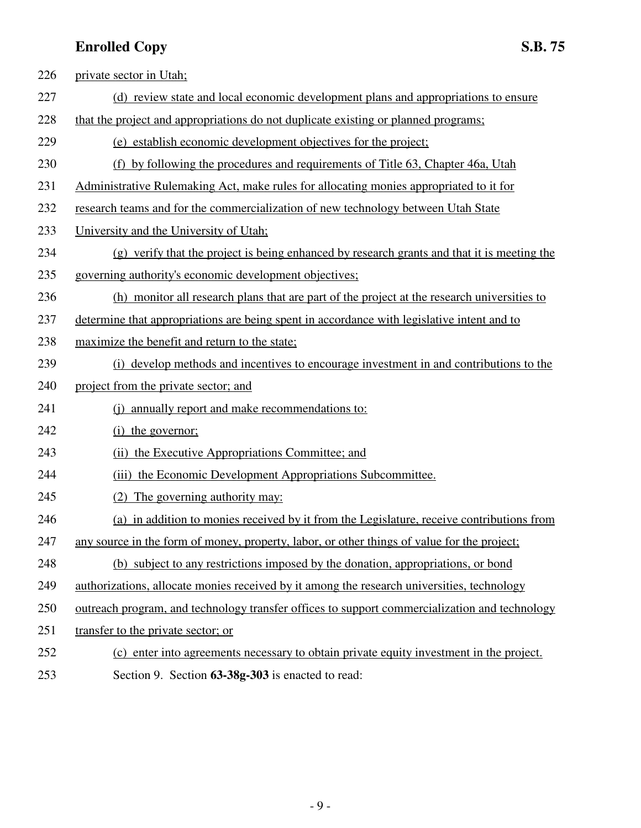| 226 | private sector in Utah;                                                                       |
|-----|-----------------------------------------------------------------------------------------------|
| 227 | (d) review state and local economic development plans and appropriations to ensure            |
| 228 | that the project and appropriations do not duplicate existing or planned programs;            |
| 229 | (e) establish economic development objectives for the project;                                |
| 230 | (f) by following the procedures and requirements of Title 63, Chapter 46a, Utah               |
| 231 | Administrative Rulemaking Act, make rules for allocating monies appropriated to it for        |
| 232 | research teams and for the commercialization of new technology between Utah State             |
| 233 | University and the University of Utah;                                                        |
| 234 | (g) verify that the project is being enhanced by research grants and that it is meeting the   |
| 235 | governing authority's economic development objectives;                                        |
| 236 | (h) monitor all research plans that are part of the project at the research universities to   |
| 237 | determine that appropriations are being spent in accordance with legislative intent and to    |
| 238 | maximize the benefit and return to the state;                                                 |
| 239 | (i) develop methods and incentives to encourage investment in and contributions to the        |
| 240 | project from the private sector; and                                                          |
| 241 | (i) annually report and make recommendations to:                                              |
| 242 | (i) the governor;                                                                             |
| 243 | (ii) the Executive Appropriations Committee; and                                              |
| 244 | (iii) the Economic Development Appropriations Subcommittee.                                   |
| 245 | The governing authority may:<br>(2)                                                           |
| 246 | (a) in addition to monies received by it from the Legislature, receive contributions from     |
| 247 | any source in the form of money, property, labor, or other things of value for the project;   |
| 248 | (b) subject to any restrictions imposed by the donation, appropriations, or bond              |
| 249 | authorizations, allocate monies received by it among the research universities, technology    |
| 250 | outreach program, and technology transfer offices to support commercialization and technology |
| 251 | transfer to the private sector; or                                                            |
| 252 | (c) enter into agreements necessary to obtain private equity investment in the project.       |
| 253 | Section 9. Section 63-38g-303 is enacted to read:                                             |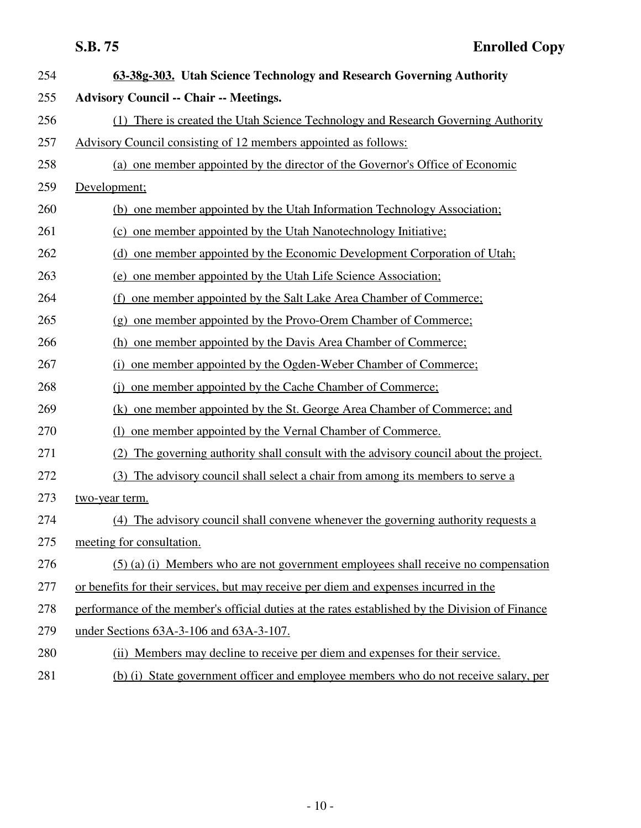| 254 | 63-38g-303. Utah Science Technology and Research Governing Authority                            |
|-----|-------------------------------------------------------------------------------------------------|
| 255 | <b>Advisory Council -- Chair -- Meetings.</b>                                                   |
| 256 | (1) There is created the Utah Science Technology and Research Governing Authority               |
| 257 | Advisory Council consisting of 12 members appointed as follows:                                 |
| 258 | (a) one member appointed by the director of the Governor's Office of Economic                   |
| 259 | Development;                                                                                    |
| 260 | (b) one member appointed by the Utah Information Technology Association;                        |
| 261 | (c) one member appointed by the Utah Nanotechnology Initiative:                                 |
| 262 | (d) one member appointed by the Economic Development Corporation of Utah;                       |
| 263 | one member appointed by the Utah Life Science Association;<br>(e)                               |
| 264 | one member appointed by the Salt Lake Area Chamber of Commerce:<br>(f)                          |
| 265 | one member appointed by the Provo-Orem Chamber of Commerce;<br>(g)                              |
| 266 | (h) one member appointed by the Davis Area Chamber of Commerce;                                 |
| 267 | one member appointed by the Ogden-Weber Chamber of Commerce;<br>(i)                             |
| 268 | one member appointed by the Cache Chamber of Commerce;<br>(i)                                   |
| 269 | (k) one member appointed by the St. George Area Chamber of Commerce; and                        |
| 270 | one member appointed by the Vernal Chamber of Commerce.<br>(1)                                  |
| 271 | The governing authority shall consult with the advisory council about the project.<br>(2)       |
| 272 | The advisory council shall select a chair from among its members to serve a<br>(3)              |
| 273 | two-year term.                                                                                  |
| 274 | (4) The advisory council shall convene whenever the governing authority requests a              |
| 275 | meeting for consultation.                                                                       |
| 276 | $(5)$ (a) (i) Members who are not government employees shall receive no compensation            |
| 277 | or benefits for their services, but may receive per diem and expenses incurred in the           |
| 278 | performance of the member's official duties at the rates established by the Division of Finance |
| 279 | under Sections 63A-3-106 and 63A-3-107.                                                         |
| 280 | (ii) Members may decline to receive per diem and expenses for their service.                    |
| 281 | (b) (i) State government officer and employee members who do not receive salary, per            |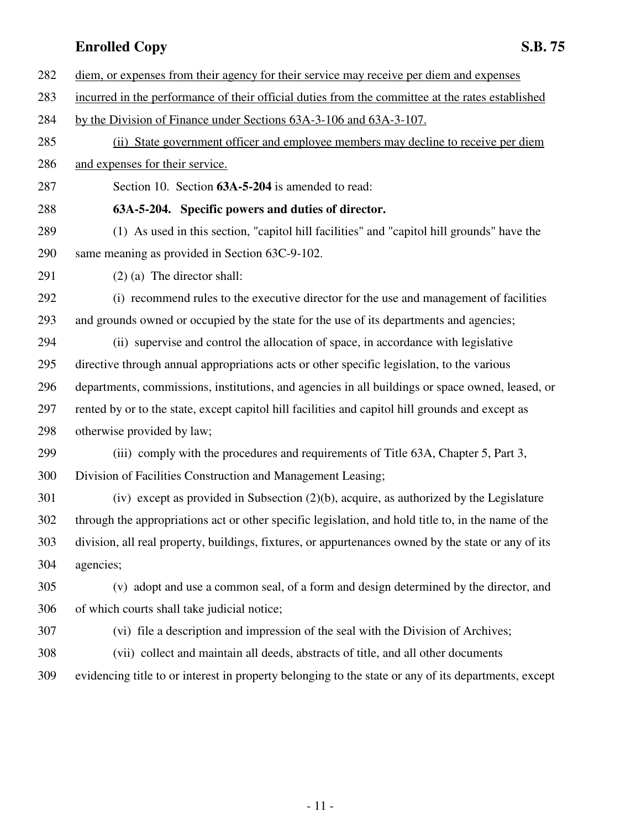- 282 diem, or expenses from their agency for their service may receive per diem and expenses
- 283 incurred in the performance of their official duties from the committee at the rates established
- 284 by the Division of Finance under Sections 63A-3-106 and 63A-3-107.
- 285 (ii) State government officer and employee members may decline to receive per diem 286 and expenses for their service.
- 287 Section 10. Section **63A-5-204** is amended to read:

### 288 **63A-5-204. Specific powers and duties of director.**

- 289 (1) As used in this section, "capitol hill facilities" and "capitol hill grounds" have the 290 same meaning as provided in Section 63C-9-102.
- 291 (2) (a) The director shall:

292 (i) recommend rules to the executive director for the use and management of facilities 293 and grounds owned or occupied by the state for the use of its departments and agencies;

294 (ii) supervise and control the allocation of space, in accordance with legislative 295 directive through annual appropriations acts or other specific legislation, to the various 296 departments, commissions, institutions, and agencies in all buildings or space owned, leased, or 297 rented by or to the state, except capitol hill facilities and capitol hill grounds and except as 298 otherwise provided by law;

299 (iii) comply with the procedures and requirements of Title 63A, Chapter 5, Part 3, 300 Division of Facilities Construction and Management Leasing;

301 (iv) except as provided in Subsection (2)(b), acquire, as authorized by the Legislature 302 through the appropriations act or other specific legislation, and hold title to, in the name of the 303 division, all real property, buildings, fixtures, or appurtenances owned by the state or any of its 304 agencies;

305 (v) adopt and use a common seal, of a form and design determined by the director, and 306 of which courts shall take judicial notice;

307 (vi) file a description and impression of the seal with the Division of Archives;

308 (vii) collect and maintain all deeds, abstracts of title, and all other documents

309 evidencing title to or interest in property belonging to the state or any of its departments, except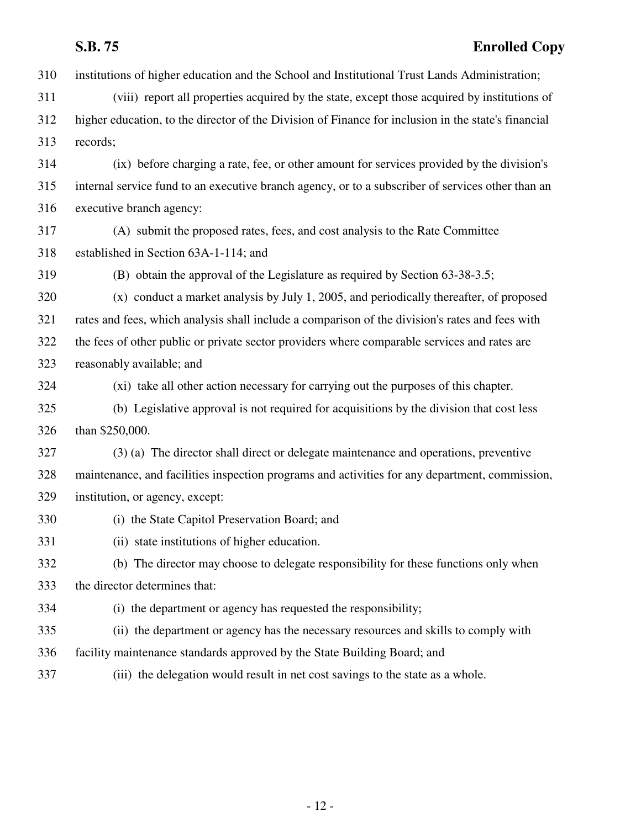# **S.B. 75 Enrolled Copy**

| 310 | institutions of higher education and the School and Institutional Trust Lands Administration;       |
|-----|-----------------------------------------------------------------------------------------------------|
| 311 | (viii) report all properties acquired by the state, except those acquired by institutions of        |
| 312 | higher education, to the director of the Division of Finance for inclusion in the state's financial |
| 313 | records;                                                                                            |
| 314 | (ix) before charging a rate, fee, or other amount for services provided by the division's           |
| 315 | internal service fund to an executive branch agency, or to a subscriber of services other than an   |
| 316 | executive branch agency:                                                                            |
| 317 | (A) submit the proposed rates, fees, and cost analysis to the Rate Committee                        |
| 318 | established in Section 63A-1-114; and                                                               |
| 319 | (B) obtain the approval of the Legislature as required by Section 63-38-3.5;                        |
| 320 | (x) conduct a market analysis by July 1, 2005, and periodically thereafter, of proposed             |
| 321 | rates and fees, which analysis shall include a comparison of the division's rates and fees with     |
| 322 | the fees of other public or private sector providers where comparable services and rates are        |
| 323 | reasonably available; and                                                                           |
| 324 | (xi) take all other action necessary for carrying out the purposes of this chapter.                 |
| 325 | (b) Legislative approval is not required for acquisitions by the division that cost less            |
| 326 | than \$250,000.                                                                                     |
| 327 | (3) (a) The director shall direct or delegate maintenance and operations, preventive                |
| 328 | maintenance, and facilities inspection programs and activities for any department, commission,      |
| 329 | institution, or agency, except:                                                                     |
| 330 | (i) the State Capitol Preservation Board; and                                                       |
| 331 | (ii) state institutions of higher education.                                                        |
| 332 | (b) The director may choose to delegate responsibility for these functions only when                |
| 333 | the director determines that:                                                                       |
| 334 | (i) the department or agency has requested the responsibility;                                      |
| 335 | (ii) the department or agency has the necessary resources and skills to comply with                 |
| 336 | facility maintenance standards approved by the State Building Board; and                            |
| 337 | (iii) the delegation would result in net cost savings to the state as a whole.                      |
|     |                                                                                                     |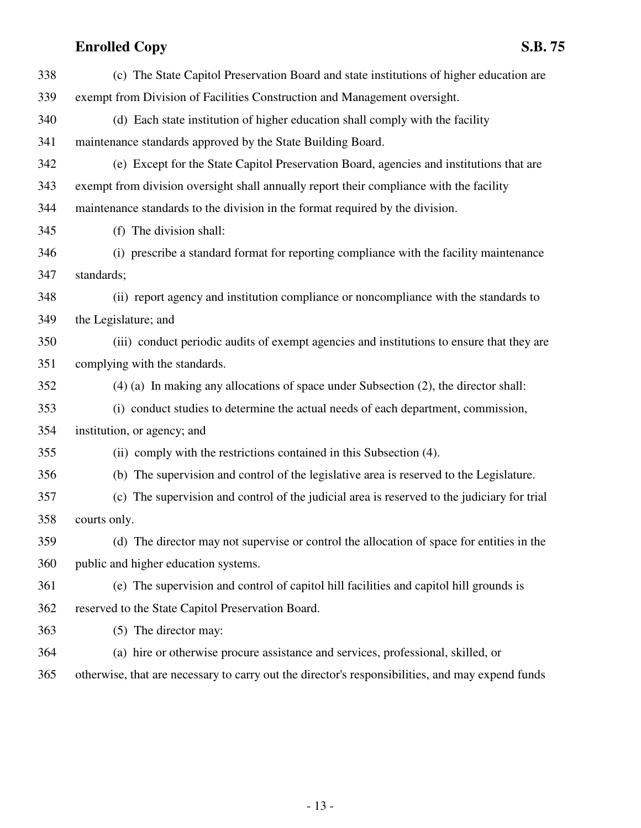| 338 | (c) The State Capitol Preservation Board and state institutions of higher education are     |
|-----|---------------------------------------------------------------------------------------------|
| 339 | exempt from Division of Facilities Construction and Management oversight.                   |
| 340 | (d) Each state institution of higher education shall comply with the facility               |
| 341 | maintenance standards approved by the State Building Board.                                 |
| 342 | (e) Except for the State Capitol Preservation Board, agencies and institutions that are     |
| 343 | exempt from division oversight shall annually report their compliance with the facility     |
| 344 | maintenance standards to the division in the format required by the division.               |
| 345 | (f) The division shall:                                                                     |
| 346 | (i) prescribe a standard format for reporting compliance with the facility maintenance      |
| 347 | standards;                                                                                  |
| 348 | (ii) report agency and institution compliance or noncompliance with the standards to        |
| 349 | the Legislature; and                                                                        |
| 350 | (iii) conduct periodic audits of exempt agencies and institutions to ensure that they are   |
| 351 | complying with the standards.                                                               |
| 352 | $(4)$ (a) In making any allocations of space under Subsection $(2)$ , the director shall:   |
| 353 | (i) conduct studies to determine the actual needs of each department, commission,           |
| 354 | institution, or agency; and                                                                 |
| 355 | (ii) comply with the restrictions contained in this Subsection (4).                         |
| 356 | (b) The supervision and control of the legislative area is reserved to the Legislature.     |
| 357 | (c) The supervision and control of the judicial area is reserved to the judiciary for trial |
| 358 | courts only.                                                                                |
| 359 | (d) The director may not supervise or control the allocation of space for entities in the   |
| 360 | public and higher education systems.                                                        |
| 361 | (e) The supervision and control of capitol hill facilities and capitol hill grounds is      |
| 362 | reserved to the State Capitol Preservation Board.                                           |
| 363 | (5) The director may:                                                                       |
| 364 | (a) hire or otherwise procure assistance and services, professional, skilled, or            |
|     |                                                                                             |

365 otherwise, that are necessary to carry out the director's responsibilities, and may expend funds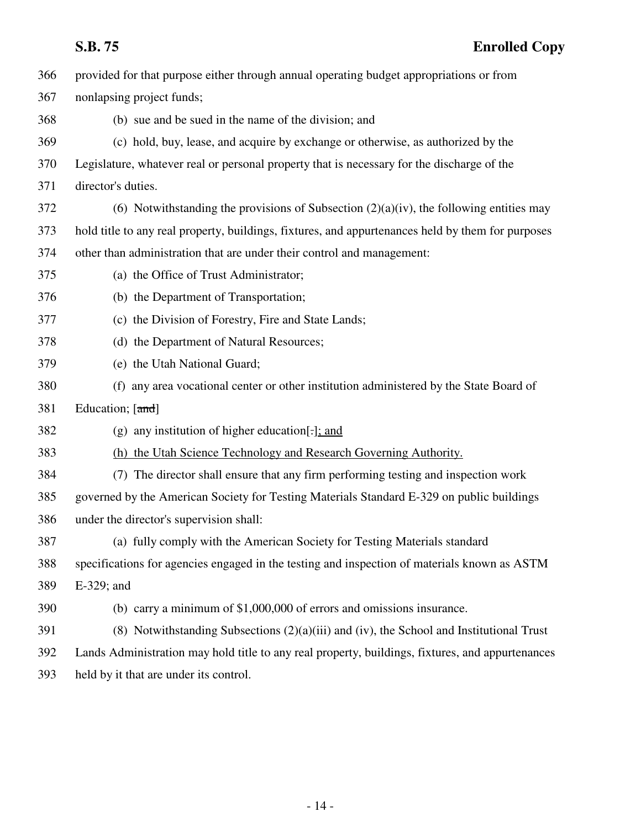| 366 | provided for that purpose either through annual operating budget appropriations or from           |
|-----|---------------------------------------------------------------------------------------------------|
| 367 | nonlapsing project funds;                                                                         |
| 368 | (b) sue and be sued in the name of the division; and                                              |
| 369 | (c) hold, buy, lease, and acquire by exchange or otherwise, as authorized by the                  |
| 370 | Legislature, whatever real or personal property that is necessary for the discharge of the        |
| 371 | director's duties.                                                                                |
| 372 | (6) Notwithstanding the provisions of Subsection $(2)(a)(iv)$ , the following entities may        |
| 373 | hold title to any real property, buildings, fixtures, and appurtenances held by them for purposes |
| 374 | other than administration that are under their control and management:                            |
| 375 | (a) the Office of Trust Administrator;                                                            |
| 376 | (b) the Department of Transportation;                                                             |
| 377 | (c) the Division of Forestry, Fire and State Lands;                                               |
| 378 | (d) the Department of Natural Resources;                                                          |
| 379 | (e) the Utah National Guard;                                                                      |
| 380 | any area vocational center or other institution administered by the State Board of<br>(f)         |
| 381 | Education; [and]                                                                                  |
| 382 | (g) any institution of higher education.                                                          |
| 383 | (h) the Utah Science Technology and Research Governing Authority.                                 |
| 384 | The director shall ensure that any firm performing testing and inspection work<br>(7)             |
| 385 | governed by the American Society for Testing Materials Standard E-329 on public buildings         |
| 386 | under the director's supervision shall:                                                           |
| 387 | (a) fully comply with the American Society for Testing Materials standard                         |
| 388 | specifications for agencies engaged in the testing and inspection of materials known as ASTM      |
| 389 | E-329; and                                                                                        |
| 390 | (b) carry a minimum of $$1,000,000$ of errors and omissions insurance.                            |
| 391 | (8) Notwithstanding Subsections $(2)(a)(iii)$ and $(iv)$ , the School and Institutional Trust     |
| 392 | Lands Administration may hold title to any real property, buildings, fixtures, and appurtenances  |
| 393 | held by it that are under its control.                                                            |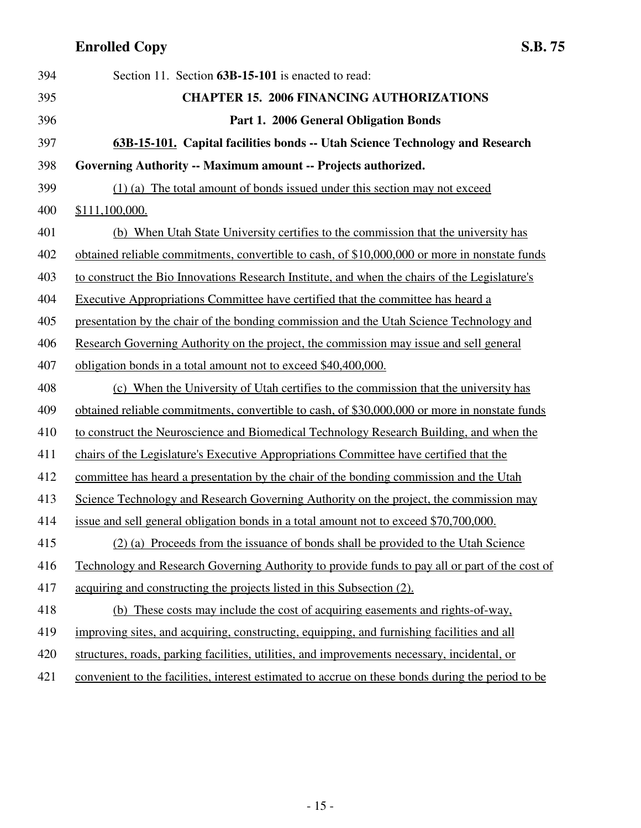| 394 | Section 11. Section 63B-15-101 is enacted to read:                                                |
|-----|---------------------------------------------------------------------------------------------------|
| 395 | <b>CHAPTER 15. 2006 FINANCING AUTHORIZATIONS</b>                                                  |
| 396 | Part 1. 2006 General Obligation Bonds                                                             |
| 397 | 63B-15-101. Capital facilities bonds -- Utah Science Technology and Research                      |
| 398 | Governing Authority -- Maximum amount -- Projects authorized.                                     |
| 399 | (1) (a) The total amount of bonds issued under this section may not exceed                        |
| 400 | \$111,100,000.                                                                                    |
| 401 | (b) When Utah State University certifies to the commission that the university has                |
| 402 | obtained reliable commitments, convertible to cash, of \$10,000,000 or more in nonstate funds     |
| 403 | to construct the Bio Innovations Research Institute, and when the chairs of the Legislature's     |
| 404 | <b>Executive Appropriations Committee have certified that the committee has heard a</b>           |
| 405 | presentation by the chair of the bonding commission and the Utah Science Technology and           |
| 406 | Research Governing Authority on the project, the commission may issue and sell general            |
| 407 | obligation bonds in a total amount not to exceed \$40,400,000.                                    |
| 408 | (c) When the University of Utah certifies to the commission that the university has               |
| 409 | obtained reliable commitments, convertible to cash, of \$30,000,000 or more in nonstate funds     |
| 410 | to construct the Neuroscience and Biomedical Technology Research Building, and when the           |
| 411 | chairs of the Legislature's Executive Appropriations Committee have certified that the            |
| 412 | committee has heard a presentation by the chair of the bonding commission and the Utah            |
| 413 | Science Technology and Research Governing Authority on the project, the commission may            |
| 414 | issue and sell general obligation bonds in a total amount not to exceed \$70,700,000.             |
| 415 | (2) (a) Proceeds from the issuance of bonds shall be provided to the Utah Science                 |
| 416 | Technology and Research Governing Authority to provide funds to pay all or part of the cost of    |
| 417 | acquiring and constructing the projects listed in this Subsection (2).                            |
| 418 | (b) These costs may include the cost of acquiring easements and rights-of-way,                    |
| 419 | improving sites, and acquiring, constructing, equipping, and furnishing facilities and all        |
| 420 | structures, roads, parking facilities, utilities, and improvements necessary, incidental, or      |
| 421 | convenient to the facilities, interest estimated to accrue on these bonds during the period to be |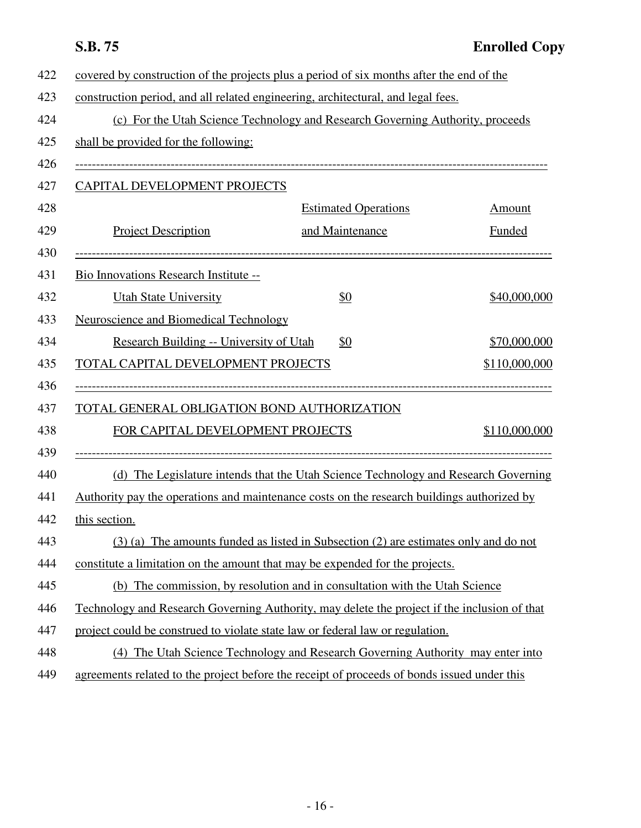| 422 | covered by construction of the projects plus a period of six months after the end of the     |                                                                                      |               |
|-----|----------------------------------------------------------------------------------------------|--------------------------------------------------------------------------------------|---------------|
| 423 | construction period, and all related engineering, architectural, and legal fees.             |                                                                                      |               |
| 424 |                                                                                              | (c) For the Utah Science Technology and Research Governing Authority, proceeds       |               |
| 425 | shall be provided for the following:                                                         |                                                                                      |               |
| 426 |                                                                                              |                                                                                      |               |
| 427 | CAPITAL DEVELOPMENT PROJECTS                                                                 |                                                                                      |               |
| 428 |                                                                                              | <b>Estimated Operations</b>                                                          | Amount        |
| 429 | <b>Project Description</b>                                                                   | and Maintenance                                                                      | Funded        |
| 430 |                                                                                              |                                                                                      |               |
| 431 | Bio Innovations Research Institute --                                                        |                                                                                      |               |
| 432 | <b>Utah State University</b>                                                                 | \$0                                                                                  | \$40,000,000  |
| 433 | <b>Neuroscience and Biomedical Technology</b>                                                |                                                                                      |               |
| 434 | Research Building -- University of Utah                                                      | <u>\$0</u>                                                                           | \$70,000,000  |
| 435 | TOTAL CAPITAL DEVELOPMENT PROJECTS                                                           |                                                                                      | \$110,000,000 |
| 436 |                                                                                              |                                                                                      |               |
| 437 | TOTAL GENERAL OBLIGATION BOND AUTHORIZATION                                                  |                                                                                      |               |
| 438 | FOR CAPITAL DEVELOPMENT PROJECTS                                                             |                                                                                      | \$110,000,000 |
| 439 |                                                                                              |                                                                                      |               |
| 440 |                                                                                              | (d) The Legislature intends that the Utah Science Technology and Research Governing  |               |
| 441 | Authority pay the operations and maintenance costs on the research buildings authorized by   |                                                                                      |               |
| 442 | this section.                                                                                |                                                                                      |               |
| 443 |                                                                                              | (3) (a) The amounts funded as listed in Subsection (2) are estimates only and do not |               |
| 444 | constitute a limitation on the amount that may be expended for the projects.                 |                                                                                      |               |
| 445 |                                                                                              | (b) The commission, by resolution and in consultation with the Utah Science          |               |
| 446 | Technology and Research Governing Authority, may delete the project if the inclusion of that |                                                                                      |               |
| 447 | project could be construed to violate state law or federal law or regulation.                |                                                                                      |               |
| 448 |                                                                                              | (4) The Utah Science Technology and Research Governing Authority may enter into      |               |
| 449 | agreements related to the project before the receipt of proceeds of bonds issued under this  |                                                                                      |               |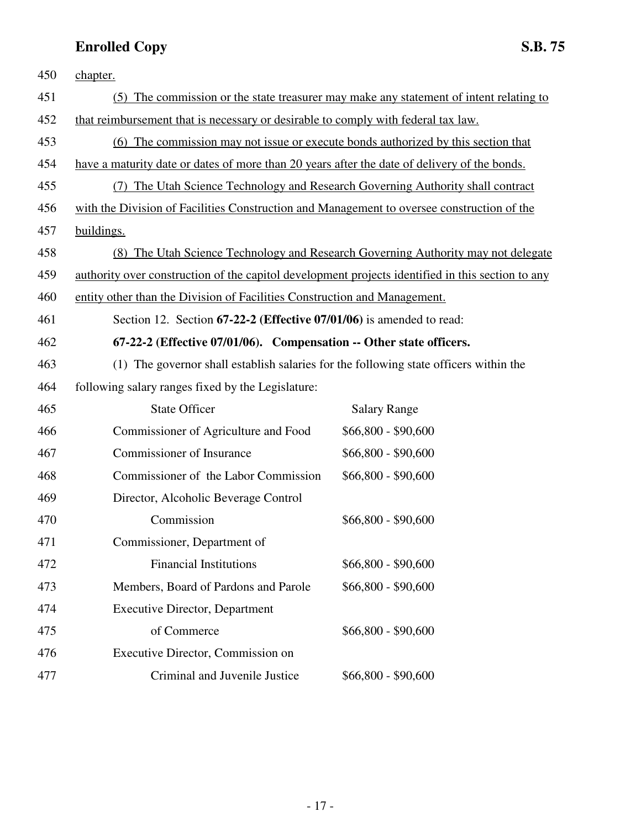| 450 | chapter.                                                                                          |                                                                                    |
|-----|---------------------------------------------------------------------------------------------------|------------------------------------------------------------------------------------|
| 451 | (5)                                                                                               | The commission or the state treasurer may make any statement of intent relating to |
| 452 | that reimbursement that is necessary or desirable to comply with federal tax law.                 |                                                                                    |
| 453 | (6) The commission may not issue or execute bonds authorized by this section that                 |                                                                                    |
| 454 | have a maturity date or dates of more than 20 years after the date of delivery of the bonds.      |                                                                                    |
| 455 | (7) The Utah Science Technology and Research Governing Authority shall contract                   |                                                                                    |
| 456 | with the Division of Facilities Construction and Management to oversee construction of the        |                                                                                    |
| 457 | buildings.                                                                                        |                                                                                    |
| 458 |                                                                                                   | (8) The Utah Science Technology and Research Governing Authority may not delegate  |
| 459 | authority over construction of the capitol development projects identified in this section to any |                                                                                    |
| 460 | entity other than the Division of Facilities Construction and Management.                         |                                                                                    |
| 461 | Section 12. Section 67-22-2 (Effective 07/01/06) is amended to read:                              |                                                                                    |
| 462 | 67-22-2 (Effective 07/01/06). Compensation -- Other state officers.                               |                                                                                    |
| 463 | (1) The governor shall establish salaries for the following state officers within the             |                                                                                    |
| 464 | following salary ranges fixed by the Legislature:                                                 |                                                                                    |
| 465 | <b>State Officer</b>                                                                              | <b>Salary Range</b>                                                                |
| 466 | Commissioner of Agriculture and Food                                                              | $$66,800 - $90,600$                                                                |
| 467 | <b>Commissioner of Insurance</b>                                                                  | $$66,800 - $90,600$                                                                |
| 468 | Commissioner of the Labor Commission                                                              | $$66,800 - $90,600$                                                                |
| 469 | Director, Alcoholic Beverage Control                                                              |                                                                                    |
| 470 | Commission                                                                                        | $$66,800 - $90,600$                                                                |
| 471 | Commissioner, Department of                                                                       |                                                                                    |
| 472 | <b>Financial Institutions</b>                                                                     | $$66,800 - $90,600$                                                                |
| 473 | Members, Board of Pardons and Parole                                                              | $$66,800 - $90,600$                                                                |
| 474 | <b>Executive Director, Department</b>                                                             |                                                                                    |
| 475 | of Commerce                                                                                       | $$66,800 - $90,600$                                                                |
| 476 | Executive Director, Commission on                                                                 |                                                                                    |
| 477 | Criminal and Juvenile Justice                                                                     | $$66,800 - $90,600$                                                                |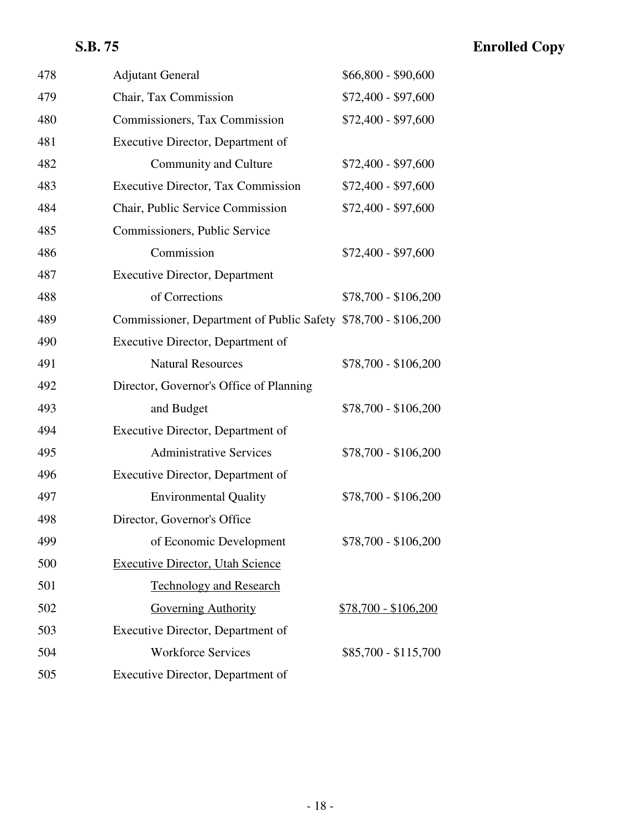# **S.B. 75 Enrolled Copy**

| 478 | <b>Adjutant General</b>                                        | $$66,800 - $90,600$         |
|-----|----------------------------------------------------------------|-----------------------------|
| 479 | Chair, Tax Commission                                          | \$72,400 - \$97,600         |
| 480 | Commissioners, Tax Commission                                  | $$72,400 - $97,600$         |
| 481 | Executive Director, Department of                              |                             |
| 482 | Community and Culture                                          | $$72,400 - $97,600$         |
| 483 | <b>Executive Director, Tax Commission</b>                      | $$72,400 - $97,600$         |
| 484 | Chair, Public Service Commission                               | \$72,400 - \$97,600         |
| 485 | Commissioners, Public Service                                  |                             |
| 486 | Commission                                                     | $$72,400 - $97,600$         |
| 487 | <b>Executive Director, Department</b>                          |                             |
| 488 | of Corrections                                                 | $$78,700 - $106,200$        |
| 489 | Commissioner, Department of Public Safety \$78,700 - \$106,200 |                             |
| 490 | Executive Director, Department of                              |                             |
| 491 | <b>Natural Resources</b>                                       | $$78,700 - $106,200$        |
| 492 | Director, Governor's Office of Planning                        |                             |
| 493 | and Budget                                                     | $$78,700 - $106,200$        |
| 494 | Executive Director, Department of                              |                             |
| 495 | <b>Administrative Services</b>                                 | $$78,700 - $106,200$        |
| 496 | Executive Director, Department of                              |                             |
| 497 | <b>Environmental Quality</b>                                   | \$78,700 - \$106,200        |
| 498 | Director, Governor's Office                                    |                             |
| 499 | of Economic Development                                        | \$78,700 - \$106,200        |
| 500 | <b>Executive Director, Utah Science</b>                        |                             |
| 501 | <b>Technology and Research</b>                                 |                             |
| 502 | <b>Governing Authority</b>                                     | <u>\$78,700 - \$106,200</u> |
| 503 | Executive Director, Department of                              |                             |
| 504 | <b>Workforce Services</b>                                      | $$85,700 - $115,700$        |
| 505 | Executive Director, Department of                              |                             |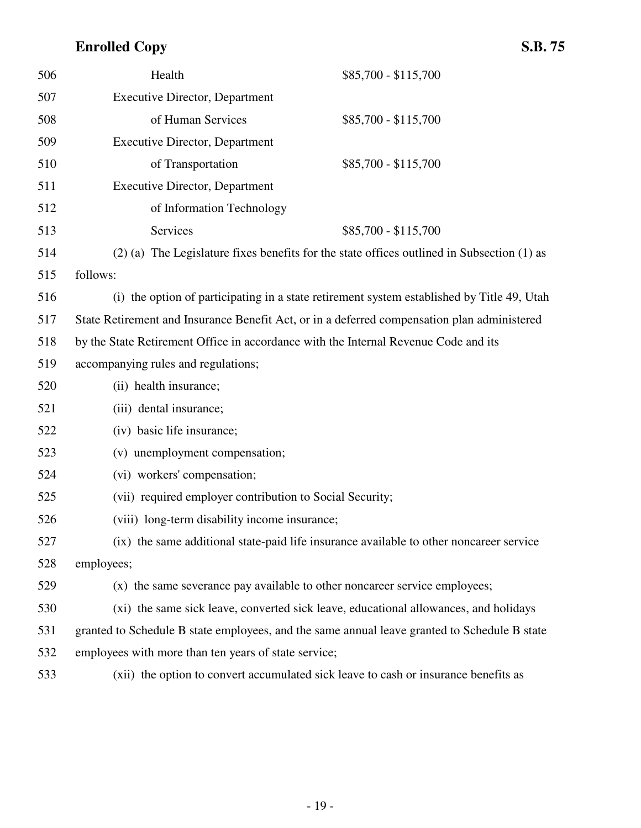| 506 | Health                                                                              | \$85,700 - \$115,700                                                                           |
|-----|-------------------------------------------------------------------------------------|------------------------------------------------------------------------------------------------|
| 507 | <b>Executive Director, Department</b>                                               |                                                                                                |
| 508 | of Human Services                                                                   | \$85,700 - \$115,700                                                                           |
| 509 | <b>Executive Director, Department</b>                                               |                                                                                                |
| 510 | of Transportation                                                                   | \$85,700 - \$115,700                                                                           |
| 511 | <b>Executive Director, Department</b>                                               |                                                                                                |
| 512 | of Information Technology                                                           |                                                                                                |
| 513 | Services                                                                            | $$85,700 - $115,700$                                                                           |
| 514 |                                                                                     | $(2)$ (a) The Legislature fixes benefits for the state offices outlined in Subsection $(1)$ as |
| 515 | follows:                                                                            |                                                                                                |
| 516 |                                                                                     | (i) the option of participating in a state retirement system established by Title 49, Utah     |
| 517 |                                                                                     | State Retirement and Insurance Benefit Act, or in a deferred compensation plan administered    |
| 518 | by the State Retirement Office in accordance with the Internal Revenue Code and its |                                                                                                |
| 519 | accompanying rules and regulations;                                                 |                                                                                                |
| 520 | (ii) health insurance;                                                              |                                                                                                |
| 521 | (iii) dental insurance;                                                             |                                                                                                |
| 522 | (iv) basic life insurance;                                                          |                                                                                                |
| 523 | (v) unemployment compensation;                                                      |                                                                                                |
| 524 | (vi) workers' compensation;                                                         |                                                                                                |
| 525 | (vii) required employer contribution to Social Security;                            |                                                                                                |
| 526 | (viii) long-term disability income insurance;                                       |                                                                                                |
| 527 |                                                                                     | (ix) the same additional state-paid life insurance available to other noncareer service        |
| 528 | employees;                                                                          |                                                                                                |
| 529 |                                                                                     | (x) the same severance pay available to other noncareer service employees;                     |
| 530 |                                                                                     | (xi) the same sick leave, converted sick leave, educational allowances, and holidays           |
| 531 |                                                                                     | granted to Schedule B state employees, and the same annual leave granted to Schedule B state   |
| 532 | employees with more than ten years of state service;                                |                                                                                                |
| 533 |                                                                                     | (xii) the option to convert accumulated sick leave to cash or insurance benefits as            |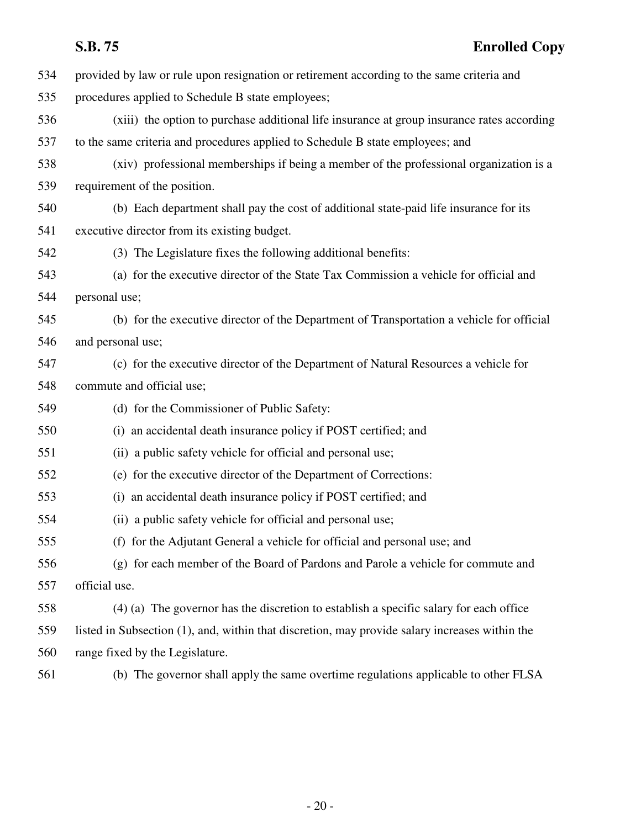| 534 | provided by law or rule upon resignation or retirement according to the same criteria and      |
|-----|------------------------------------------------------------------------------------------------|
| 535 | procedures applied to Schedule B state employees;                                              |
| 536 | (xiii) the option to purchase additional life insurance at group insurance rates according     |
| 537 | to the same criteria and procedures applied to Schedule B state employees; and                 |
| 538 | (xiv) professional memberships if being a member of the professional organization is a         |
| 539 | requirement of the position.                                                                   |
| 540 | (b) Each department shall pay the cost of additional state-paid life insurance for its         |
| 541 | executive director from its existing budget.                                                   |
| 542 | (3) The Legislature fixes the following additional benefits:                                   |
| 543 | (a) for the executive director of the State Tax Commission a vehicle for official and          |
| 544 | personal use;                                                                                  |
| 545 | (b) for the executive director of the Department of Transportation a vehicle for official      |
| 546 | and personal use;                                                                              |
| 547 | (c) for the executive director of the Department of Natural Resources a vehicle for            |
| 548 | commute and official use;                                                                      |
| 549 | (d) for the Commissioner of Public Safety:                                                     |
| 550 | (i) an accidental death insurance policy if POST certified; and                                |
| 551 | (ii) a public safety vehicle for official and personal use;                                    |
| 552 | (e) for the executive director of the Department of Corrections:                               |
| 553 | (i) an accidental death insurance policy if POST certified; and                                |
| 554 | (ii) a public safety vehicle for official and personal use;                                    |
| 555 | (f) for the Adjutant General a vehicle for official and personal use; and                      |
| 556 | (g) for each member of the Board of Pardons and Parole a vehicle for commute and               |
| 557 | official use.                                                                                  |
| 558 | $(4)$ (a) The governor has the discretion to establish a specific salary for each office       |
| 559 | listed in Subsection (1), and, within that discretion, may provide salary increases within the |
| 560 | range fixed by the Legislature.                                                                |
| 561 | (b) The governor shall apply the same overtime regulations applicable to other FLSA            |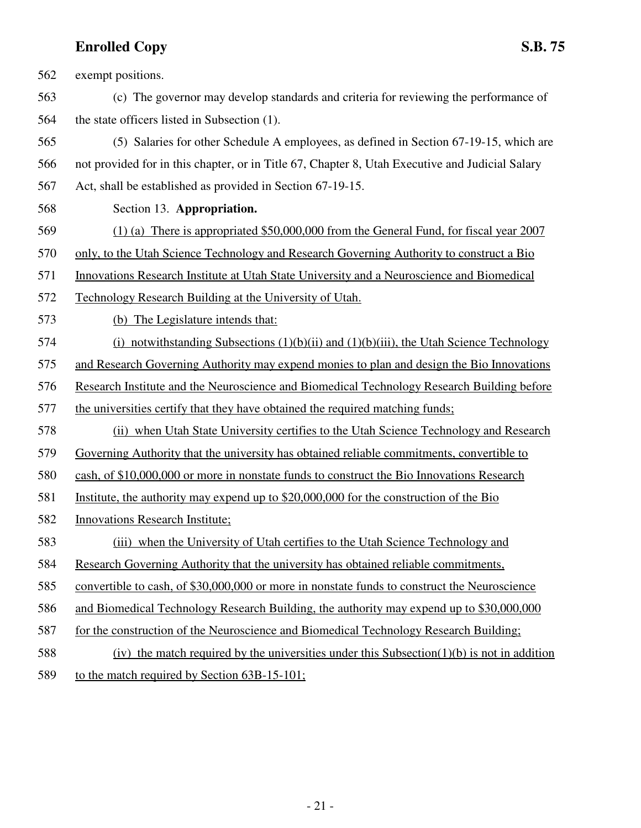562 exempt positions. 563 (c) The governor may develop standards and criteria for reviewing the performance of 564 the state officers listed in Subsection (1). 565 (5) Salaries for other Schedule A employees, as defined in Section 67-19-15, which are 566 not provided for in this chapter, or in Title 67, Chapter 8, Utah Executive and Judicial Salary 567 Act, shall be established as provided in Section 67-19-15. 568 Section 13. **Appropriation.** 569 (1) (a) There is appropriated \$50,000,000 from the General Fund, for fiscal year 2007 570 only, to the Utah Science Technology and Research Governing Authority to construct a Bio 571 Innovations Research Institute at Utah State University and a Neuroscience and Biomedical 572 Technology Research Building at the University of Utah. 573 (b) The Legislature intends that: 574 (i) notwithstanding Subsections  $(1)(b)(ii)$  and  $(1)(b)(iii)$ , the Utah Science Technology 575 and Research Governing Authority may expend monies to plan and design the Bio Innovations 576 Research Institute and the Neuroscience and Biomedical Technology Research Building before 577 the universities certify that they have obtained the required matching funds; 578 (ii) when Utah State University certifies to the Utah Science Technology and Research 579 Governing Authority that the university has obtained reliable commitments, convertible to 580 cash, of \$10,000,000 or more in nonstate funds to construct the Bio Innovations Research 581 Institute, the authority may expend up to \$20,000,000 for the construction of the Bio 582 Innovations Research Institute; 583 (iii) when the University of Utah certifies to the Utah Science Technology and 584 Research Governing Authority that the university has obtained reliable commitments, 585 convertible to cash, of \$30,000,000 or more in nonstate funds to construct the Neuroscience 586 and Biomedical Technology Research Building, the authority may expend up to \$30,000,000 587 for the construction of the Neuroscience and Biomedical Technology Research Building; 588 (iv) the match required by the universities under this Subsection(1)(b) is not in addition 589 to the match required by Section 63B-15-101;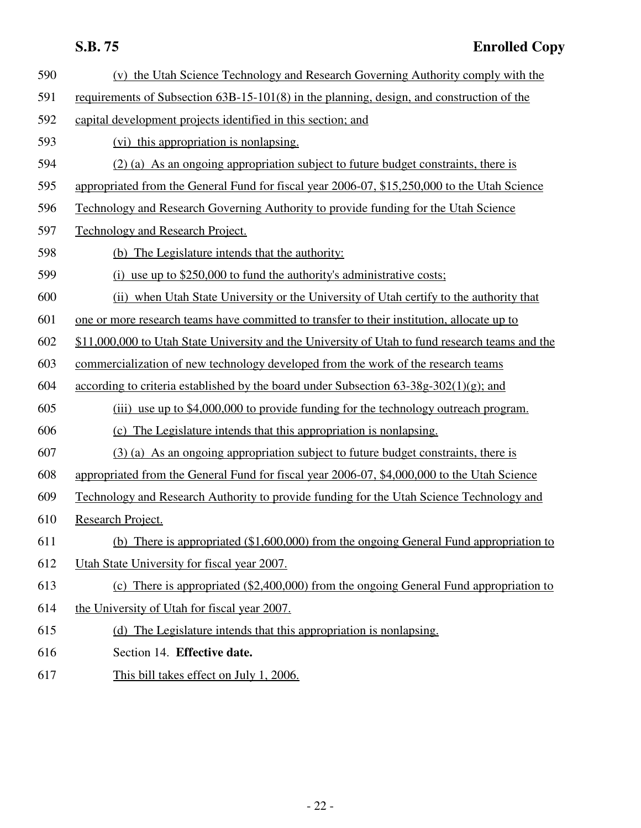| 590 | (v) the Utah Science Technology and Research Governing Authority comply with the                |
|-----|-------------------------------------------------------------------------------------------------|
| 591 | requirements of Subsection 63B-15-101(8) in the planning, design, and construction of the       |
| 592 | capital development projects identified in this section; and                                    |
| 593 | (vi) this appropriation is nonlapsing.                                                          |
| 594 | (2) (a) As an ongoing appropriation subject to future budget constraints, there is              |
| 595 | appropriated from the General Fund for fiscal year 2006-07, \$15,250,000 to the Utah Science    |
| 596 | Technology and Research Governing Authority to provide funding for the Utah Science             |
| 597 | <b>Technology and Research Project.</b>                                                         |
| 598 | (b) The Legislature intends that the authority:                                                 |
| 599 | (i) use up to $$250,000$ to fund the authority's administrative costs;                          |
| 600 | (ii) when Utah State University or the University of Utah certify to the authority that         |
| 601 | one or more research teams have committed to transfer to their institution, allocate up to      |
| 602 | \$11,000,000 to Utah State University and the University of Utah to fund research teams and the |
| 603 | commercialization of new technology developed from the work of the research teams               |
| 604 | according to criteria established by the board under Subsection $63-38g-302(1)(g)$ ; and        |
| 605 | (iii) use up to \$4,000,000 to provide funding for the technology outreach program.             |
| 606 | (c) The Legislature intends that this appropriation is nonlapsing.                              |
| 607 | (3) (a) As an ongoing appropriation subject to future budget constraints, there is              |
| 608 | appropriated from the General Fund for fiscal year 2006-07, \$4,000,000 to the Utah Science     |
| 609 | Technology and Research Authority to provide funding for the Utah Science Technology and        |
| 610 | Research Project.                                                                               |
| 611 | (b) There is appropriated $(\$1,600,000)$ from the ongoing General Fund appropriation to        |
| 612 | Utah State University for fiscal year 2007.                                                     |
| 613 | (c) There is appropriated $(\$2,400,000)$ from the ongoing General Fund appropriation to        |
| 614 | the University of Utah for fiscal year 2007.                                                    |
| 615 | (d) The Legislature intends that this appropriation is nonlapsing.                              |
| 616 | Section 14. Effective date.                                                                     |
| 617 | This bill takes effect on July 1, 2006.                                                         |